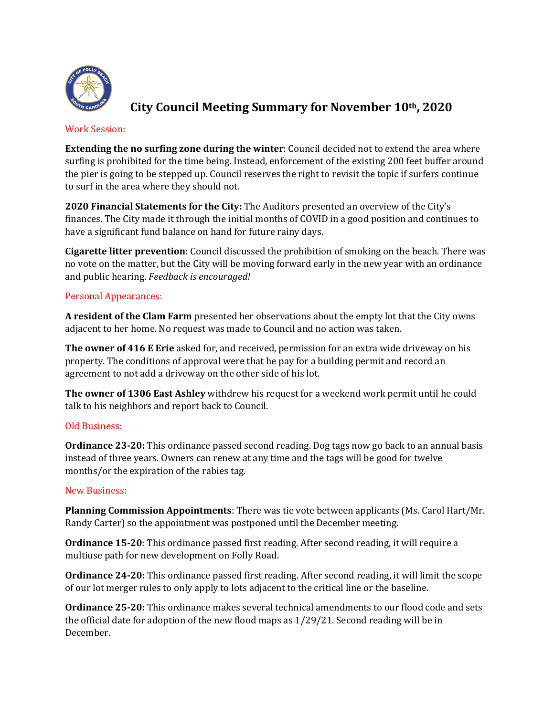

# **City Council Meeting Summary for November 10th, 2020**

#### Work Session:

**Extending the no surfing zone during the winter**: Council decided not to extend the area where surfing is prohibited for the time being. Instead, enforcement of the existing 200 feet buffer around the pier is going to be stepped up. Council reserves the right to revisit the topic if surfers continue to surf in the area where they should not.

**2020 Financial Statements for the City:** The Auditors presented an overview of the City's finances. The City made it through the initial months of COVID in a good position and continues to have a significant fund balance on hand for future rainy days.

**Cigarette litter prevention**: Council discussed the prohibition of smoking on the beach. There was no vote on the matter, but the City will be moving forward early in the new year with an ordinance and public hearing. *Feedback is encouraged!*

## Personal Appearances:

**A resident of the Clam Farm** presented her observations about the empty lot that the City owns adjacent to her home. No request was made to Council and no action was taken.

**The owner of 416 E Erie** asked for, and received, permission for an extra wide driveway on his property. The conditions of approval were that he pay for a building permit and record an agreement to not add a driveway on the other side of his lot.

**The owner of 1306 East Ashley** withdrew his request for a weekend work permit until he could talk to his neighbors and report back to Council.

## Old Business:

**Ordinance 23-20:** This ordinance passed second reading. Dog tags now go back to an annual basis instead of three years. Owners can renew at any time and the tags will be good for twelve months/or the expiration of the rabies tag.

#### New Business:

**Planning Commission Appointments**: There was tie vote between applicants (Ms. Carol Hart/Mr. Randy Carter) so the appointment was postponed until the December meeting.

**Ordinance 15-20**: This ordinance passed first reading. After second reading, it will require a multiuse path for new development on Folly Road.

**Ordinance 24-20:** This ordinance passed first reading. After second reading, it will limit the scope of our lot merger rules to only apply to lots adjacent to the critical line or the baseline.

**Ordinance 25-20:** This ordinance makes several technical amendments to our flood code and sets the official date for adoption of the new flood maps as  $1/29/21$ . Second reading will be in December.